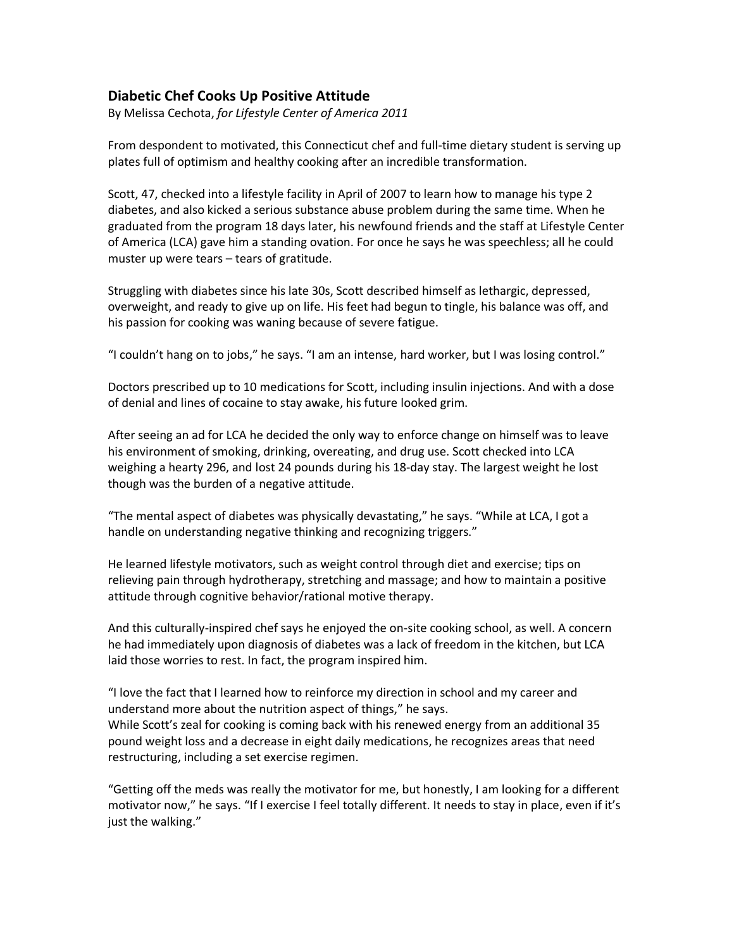## **Diabetic Chef Cooks Up Positive Attitude**

By Melissa Cechota, *for Lifestyle Center of America 2011*

From despondent to motivated, this Connecticut chef and full-time dietary student is serving up plates full of optimism and healthy cooking after an incredible transformation.

Scott, 47, checked into a lifestyle facility in April of 2007 to learn how to manage his type 2 diabetes, and also kicked a serious substance abuse problem during the same time. When he graduated from the program 18 days later, his newfound friends and the staff at Lifestyle Center of America (LCA) gave him a standing ovation. For once he says he was speechless; all he could muster up were tears – tears of gratitude.

Struggling with diabetes since his late 30s, Scott described himself as lethargic, depressed, overweight, and ready to give up on life. His feet had begun to tingle, his balance was off, and his passion for cooking was waning because of severe fatigue.

"I couldn't hang on to jobs," he says. "I am an intense, hard worker, but I was losing control."

Doctors prescribed up to 10 medications for Scott, including insulin injections. And with a dose of denial and lines of cocaine to stay awake, his future looked grim.

After seeing an ad for LCA he decided the only way to enforce change on himself was to leave his environment of smoking, drinking, overeating, and drug use. Scott checked into LCA weighing a hearty 296, and lost 24 pounds during his 18-day stay. The largest weight he lost though was the burden of a negative attitude.

"The mental aspect of diabetes was physically devastating," he says. "While at LCA, I got a handle on understanding negative thinking and recognizing triggers."

He learned lifestyle motivators, such as weight control through diet and exercise; tips on relieving pain through hydrotherapy, stretching and massage; and how to maintain a positive attitude through cognitive behavior/rational motive therapy.

And this culturally-inspired chef says he enjoyed the on-site cooking school, as well. A concern he had immediately upon diagnosis of diabetes was a lack of freedom in the kitchen, but LCA laid those worries to rest. In fact, the program inspired him.

"I love the fact that I learned how to reinforce my direction in school and my career and understand more about the nutrition aspect of things," he says. While Scott's zeal for cooking is coming back with his renewed energy from an additional 35 pound weight loss and a decrease in eight daily medications, he recognizes areas that need restructuring, including a set exercise regimen.

"Getting off the meds was really the motivator for me, but honestly, I am looking for a different motivator now," he says. "If I exercise I feel totally different. It needs to stay in place, even if it's just the walking."